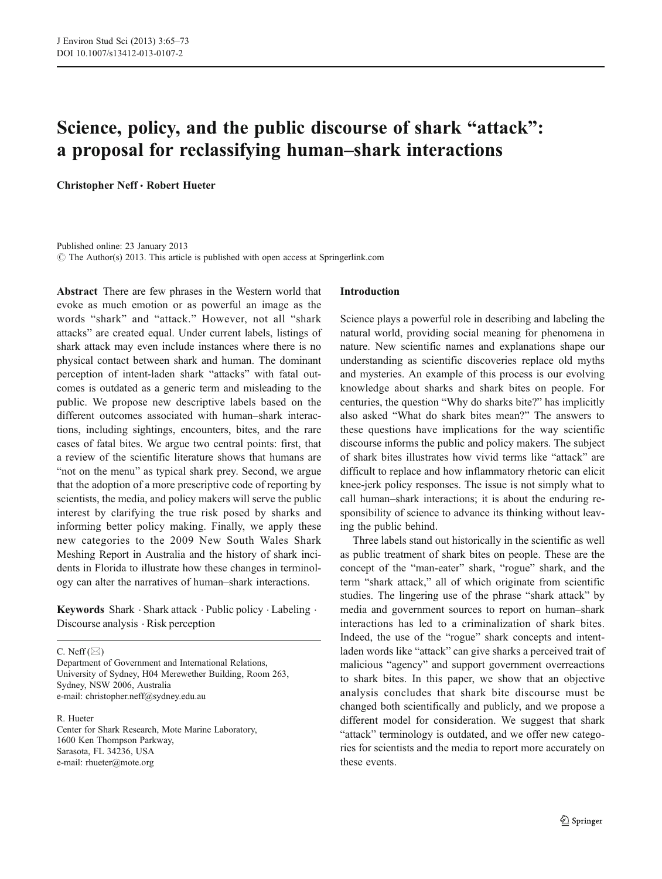# Science, policy, and the public discourse of shark "attack": a proposal for reclassifying human–shark interactions

Christopher Neff & Robert Hueter

Published online: 23 January 2013  $\odot$  The Author(s) 2013. This article is published with open access at Springerlink.com

Abstract There are few phrases in the Western world that evoke as much emotion or as powerful an image as the words "shark" and "attack." However, not all "shark attacks" are created equal. Under current labels, listings of shark attack may even include instances where there is no physical contact between shark and human. The dominant perception of intent-laden shark "attacks" with fatal outcomes is outdated as a generic term and misleading to the public. We propose new descriptive labels based on the different outcomes associated with human–shark interactions, including sightings, encounters, bites, and the rare cases of fatal bites. We argue two central points: first, that a review of the scientific literature shows that humans are "not on the menu" as typical shark prey. Second, we argue that the adoption of a more prescriptive code of reporting by scientists, the media, and policy makers will serve the public interest by clarifying the true risk posed by sharks and informing better policy making. Finally, we apply these new categories to the 2009 New South Wales Shark Meshing Report in Australia and the history of shark incidents in Florida to illustrate how these changes in terminology can alter the narratives of human–shark interactions.

Keywords Shark . Shark attack . Public policy . Labeling . Discourse analysis . Risk perception

C. Neff  $(\boxtimes)$ 

Department of Government and International Relations, University of Sydney, H04 Merewether Building, Room 263, Sydney, NSW 2006, Australia e-mail: christopher.neff@sydney.edu.au

R. Hueter

Center for Shark Research, Mote Marine Laboratory, 1600 Ken Thompson Parkway, Sarasota, FL 34236, USA e-mail: rhueter@mote.org

### Introduction

Science plays a powerful role in describing and labeling the natural world, providing social meaning for phenomena in nature. New scientific names and explanations shape our understanding as scientific discoveries replace old myths and mysteries. An example of this process is our evolving knowledge about sharks and shark bites on people. For centuries, the question "Why do sharks bite?" has implicitly also asked "What do shark bites mean?" The answers to these questions have implications for the way scientific discourse informs the public and policy makers. The subject of shark bites illustrates how vivid terms like "attack" are difficult to replace and how inflammatory rhetoric can elicit knee-jerk policy responses. The issue is not simply what to call human–shark interactions; it is about the enduring responsibility of science to advance its thinking without leaving the public behind.

Three labels stand out historically in the scientific as well as public treatment of shark bites on people. These are the concept of the "man-eater" shark, "rogue" shark, and the term "shark attack," all of which originate from scientific studies. The lingering use of the phrase "shark attack" by media and government sources to report on human–shark interactions has led to a criminalization of shark bites. Indeed, the use of the "rogue" shark concepts and intentladen words like "attack" can give sharks a perceived trait of malicious "agency" and support government overreactions to shark bites. In this paper, we show that an objective analysis concludes that shark bite discourse must be changed both scientifically and publicly, and we propose a different model for consideration. We suggest that shark "attack" terminology is outdated, and we offer new categories for scientists and the media to report more accurately on these events.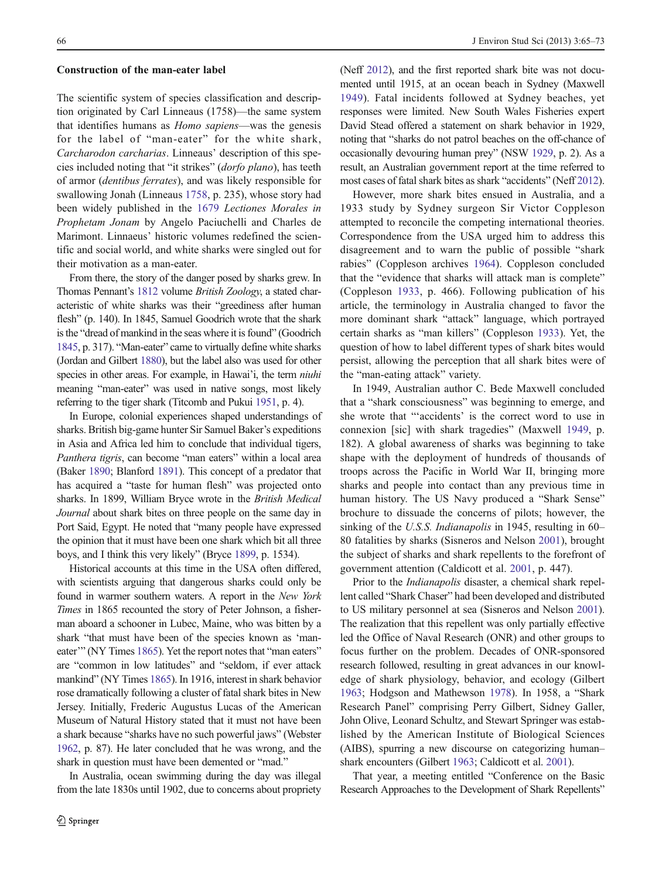#### Construction of the man-eater label

The scientific system of species classification and description originated by Carl Linneaus (1758)—the same system that identifies humans as Homo sapiens—was the genesis for the label of "man-eater" for the white shark, Carcharodon carcharias. Linneaus' description of this species included noting that "it strikes" (dorfo plano), has teeth of armor (dentibus ferrates), and was likely responsible for swallowing Jonah (Linneaus [1758,](#page-8-0) p. 235), whose story had been widely published in the [1679](#page-8-0) Lectiones Morales in Prophetam Jonam by Angelo Paciuchelli and Charles de Marimont. Linnaeus' historic volumes redefined the scientific and social world, and white sharks were singled out for their motivation as a man-eater.

From there, the story of the danger posed by sharks grew. In Thomas Pennant's [1812](#page-8-0) volume British Zoology, a stated characteristic of white sharks was their "greediness after human flesh" (p. 140). In 1845, Samuel Goodrich wrote that the shark is the "dread of mankind in the seas where it is found" (Goodrich [1845](#page-8-0), p. 317). "Man-eater" came to virtually define white sharks (Jordan and Gilbert [1880](#page-8-0)), but the label also was used for other species in other areas. For example, in Hawai'i, the term niuhi meaning "man-eater" was used in native songs, most likely referring to the tiger shark (Titcomb and Pukui [1951,](#page-8-0) p. 4).

In Europe, colonial experiences shaped understandings of sharks. British big-game hunter Sir Samuel Baker's expeditions in Asia and Africa led him to conclude that individual tigers, Panthera tigris, can become "man eaters" within a local area (Baker [1890](#page-7-0); Blanford [1891\)](#page-7-0). This concept of a predator that has acquired a "taste for human flesh" was projected onto sharks. In 1899, William Bryce wrote in the British Medical Journal about shark bites on three people on the same day in Port Said, Egypt. He noted that "many people have expressed the opinion that it must have been one shark which bit all three boys, and I think this very likely" (Bryce [1899](#page-7-0), p. 1534).

Historical accounts at this time in the USA often differed, with scientists arguing that dangerous sharks could only be found in warmer southern waters. A report in the New York Times in 1865 recounted the story of Peter Johnson, a fisherman aboard a schooner in Lubec, Maine, who was bitten by a shark "that must have been of the species known as 'man-eater'" (NY Times [1865](#page-8-0)). Yet the report notes that "man eaters" are "common in low latitudes" and "seldom, if ever attack mankind" (NY Times [1865](#page-8-0)). In 1916, interest in shark behavior rose dramatically following a cluster of fatal shark bites in New Jersey. Initially, Frederic Augustus Lucas of the American Museum of Natural History stated that it must not have been a shark because "sharks have no such powerful jaws" (Webster [1962](#page-8-0), p. 87). He later concluded that he was wrong, and the shark in question must have been demented or "mad."

In Australia, ocean swimming during the day was illegal from the late 1830s until 1902, due to concerns about propriety (Neff [2012](#page-8-0)), and the first reported shark bite was not documented until 1915, at an ocean beach in Sydney (Maxwell [1949\)](#page-8-0). Fatal incidents followed at Sydney beaches, yet responses were limited. New South Wales Fisheries expert David Stead offered a statement on shark behavior in 1929, noting that "sharks do not patrol beaches on the off-chance of occasionally devouring human prey" (NSW [1929,](#page-8-0) p. 2). As a result, an Australian government report at the time referred to most cases of fatal shark bites as shark "accidents" (Neff [2012\)](#page-8-0).

However, more shark bites ensued in Australia, and a 1933 study by Sydney surgeon Sir Victor Coppleson attempted to reconcile the competing international theories. Correspondence from the USA urged him to address this disagreement and to warn the public of possible "shark rabies" (Coppleson archives [1964](#page-8-0)). Coppleson concluded that the "evidence that sharks will attack man is complete" (Coppleson [1933,](#page-8-0) p. 466). Following publication of his article, the terminology in Australia changed to favor the more dominant shark "attack" language, which portrayed certain sharks as "man killers" (Coppleson [1933\)](#page-8-0). Yet, the question of how to label different types of shark bites would persist, allowing the perception that all shark bites were of the "man-eating attack" variety.

In 1949, Australian author C. Bede Maxwell concluded that a "shark consciousness" was beginning to emerge, and she wrote that "'accidents' is the correct word to use in connexion [sic] with shark tragedies" (Maxwell [1949,](#page-8-0) p. 182). A global awareness of sharks was beginning to take shape with the deployment of hundreds of thousands of troops across the Pacific in World War II, bringing more sharks and people into contact than any previous time in human history. The US Navy produced a "Shark Sense" brochure to dissuade the concerns of pilots; however, the sinking of the U.S.S. *Indianapolis* in 1945, resulting in 60– 80 fatalities by sharks (Sisneros and Nelson [2001\)](#page-8-0), brought the subject of sharks and shark repellents to the forefront of government attention (Caldicott et al. [2001,](#page-8-0) p. 447).

Prior to the *Indianapolis* disaster, a chemical shark repellent called "Shark Chaser" had been developed and distributed to US military personnel at sea (Sisneros and Nelson [2001\)](#page-8-0). The realization that this repellent was only partially effective led the Office of Naval Research (ONR) and other groups to focus further on the problem. Decades of ONR-sponsored research followed, resulting in great advances in our knowledge of shark physiology, behavior, and ecology (Gilbert [1963;](#page-8-0) Hodgson and Mathewson [1978](#page-8-0)). In 1958, a "Shark Research Panel" comprising Perry Gilbert, Sidney Galler, John Olive, Leonard Schultz, and Stewart Springer was established by the American Institute of Biological Sciences (AIBS), spurring a new discourse on categorizing human– shark encounters (Gilbert [1963;](#page-8-0) Caldicott et al. [2001](#page-8-0)).

That year, a meeting entitled "Conference on the Basic Research Approaches to the Development of Shark Repellents"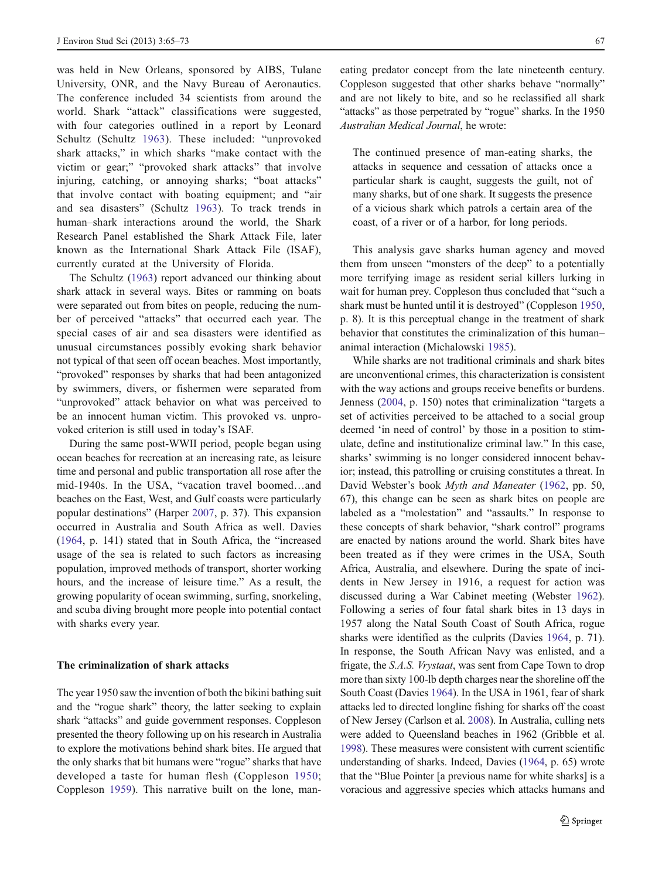was held in New Orleans, sponsored by AIBS, Tulane University, ONR, and the Navy Bureau of Aeronautics. The conference included 34 scientists from around the world. Shark "attack" classifications were suggested, with four categories outlined in a report by Leonard Schultz (Schultz [1963\)](#page-8-0). These included: "unprovoked shark attacks," in which sharks "make contact with the victim or gear;" "provoked shark attacks" that involve injuring, catching, or annoying sharks; "boat attacks" that involve contact with boating equipment; and "air and sea disasters" (Schultz [1963\)](#page-8-0). To track trends in human–shark interactions around the world, the Shark Research Panel established the Shark Attack File, later known as the International Shark Attack File (ISAF), currently curated at the University of Florida.

The Schultz [\(1963](#page-8-0)) report advanced our thinking about shark attack in several ways. Bites or ramming on boats were separated out from bites on people, reducing the number of perceived "attacks" that occurred each year. The special cases of air and sea disasters were identified as unusual circumstances possibly evoking shark behavior not typical of that seen off ocean beaches. Most importantly, "provoked" responses by sharks that had been antagonized by swimmers, divers, or fishermen were separated from "unprovoked" attack behavior on what was perceived to be an innocent human victim. This provoked vs. unprovoked criterion is still used in today's ISAF.

During the same post-WWII period, people began using ocean beaches for recreation at an increasing rate, as leisure time and personal and public transportation all rose after the mid-1940s. In the USA, "vacation travel boomed…and beaches on the East, West, and Gulf coasts were particularly popular destinations" (Harper [2007,](#page-8-0) p. 37). This expansion occurred in Australia and South Africa as well. Davies [\(1964](#page-8-0), p. 141) stated that in South Africa, the "increased usage of the sea is related to such factors as increasing population, improved methods of transport, shorter working hours, and the increase of leisure time." As a result, the growing popularity of ocean swimming, surfing, snorkeling, and scuba diving brought more people into potential contact with sharks every year.

#### The criminalization of shark attacks

The year 1950 saw the invention of both the bikini bathing suit and the "rogue shark" theory, the latter seeking to explain shark "attacks" and guide government responses. Coppleson presented the theory following up on his research in Australia to explore the motivations behind shark bites. He argued that the only sharks that bit humans were "rogue" sharks that have developed a taste for human flesh (Coppleson [1950](#page-8-0); Coppleson [1959\)](#page-8-0). This narrative built on the lone, maneating predator concept from the late nineteenth century. Coppleson suggested that other sharks behave "normally" and are not likely to bite, and so he reclassified all shark "attacks" as those perpetrated by "rogue" sharks. In the 1950 Australian Medical Journal, he wrote:

The continued presence of man-eating sharks, the attacks in sequence and cessation of attacks once a particular shark is caught, suggests the guilt, not of many sharks, but of one shark. It suggests the presence of a vicious shark which patrols a certain area of the coast, of a river or of a harbor, for long periods.

This analysis gave sharks human agency and moved them from unseen "monsters of the deep" to a potentially more terrifying image as resident serial killers lurking in wait for human prey. Coppleson thus concluded that "such a shark must be hunted until it is destroyed" (Coppleson [1950,](#page-8-0) p. 8). It is this perceptual change in the treatment of shark behavior that constitutes the criminalization of this human– animal interaction (Michalowski [1985\)](#page-8-0).

While sharks are not traditional criminals and shark bites are unconventional crimes, this characterization is consistent with the way actions and groups receive benefits or burdens. Jenness ([2004,](#page-8-0) p. 150) notes that criminalization "targets a set of activities perceived to be attached to a social group deemed 'in need of control' by those in a position to stimulate, define and institutionalize criminal law." In this case, sharks' swimming is no longer considered innocent behavior; instead, this patrolling or cruising constitutes a threat. In David Webster's book Myth and Maneater [\(1962](#page-8-0), pp. 50, 67), this change can be seen as shark bites on people are labeled as a "molestation" and "assaults." In response to these concepts of shark behavior, "shark control" programs are enacted by nations around the world. Shark bites have been treated as if they were crimes in the USA, South Africa, Australia, and elsewhere. During the spate of incidents in New Jersey in 1916, a request for action was discussed during a War Cabinet meeting (Webster [1962\)](#page-8-0). Following a series of four fatal shark bites in 13 days in 1957 along the Natal South Coast of South Africa, rogue sharks were identified as the culprits (Davies [1964,](#page-8-0) p. 71). In response, the South African Navy was enlisted, and a frigate, the S.A.S. Vrystaat, was sent from Cape Town to drop more than sixty 100-lb depth charges near the shoreline off the South Coast (Davies [1964](#page-8-0)). In the USA in 1961, fear of shark attacks led to directed longline fishing for sharks off the coast of New Jersey (Carlson et al. [2008\)](#page-8-0). In Australia, culling nets were added to Queensland beaches in 1962 (Gribble et al. [1998\)](#page-8-0). These measures were consistent with current scientific understanding of sharks. Indeed, Davies ([1964](#page-8-0), p. 65) wrote that the "Blue Pointer [a previous name for white sharks] is a voracious and aggressive species which attacks humans and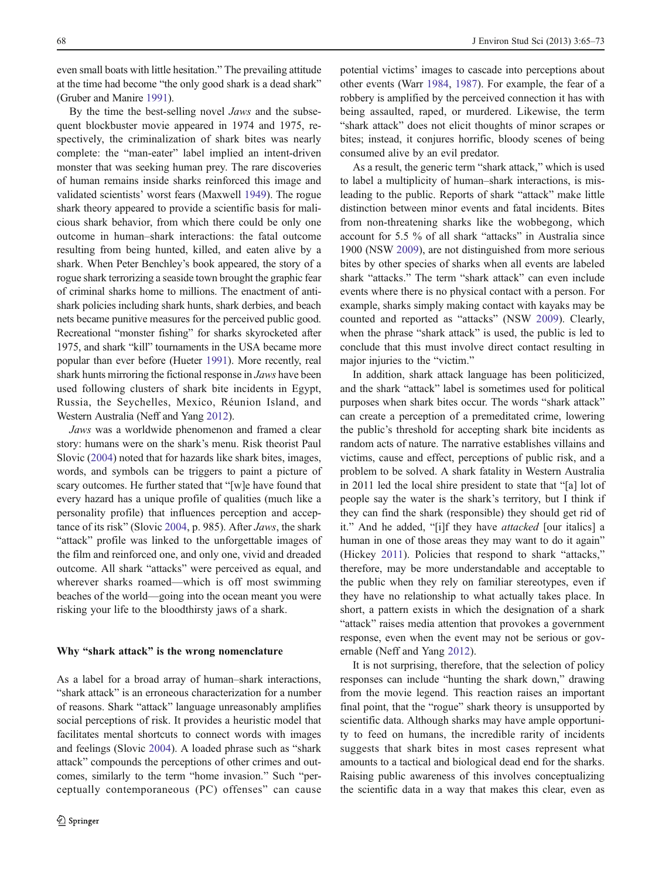even small boats with little hesitation." The prevailing attitude at the time had become "the only good shark is a dead shark" (Gruber and Manire [1991](#page-8-0)).

By the time the best-selling novel *Jaws* and the subsequent blockbuster movie appeared in 1974 and 1975, respectively, the criminalization of shark bites was nearly complete: the "man-eater" label implied an intent-driven monster that was seeking human prey. The rare discoveries of human remains inside sharks reinforced this image and validated scientists' worst fears (Maxwell [1949\)](#page-8-0). The rogue shark theory appeared to provide a scientific basis for malicious shark behavior, from which there could be only one outcome in human–shark interactions: the fatal outcome resulting from being hunted, killed, and eaten alive by a shark. When Peter Benchley's book appeared, the story of a rogue shark terrorizing a seaside town brought the graphic fear of criminal sharks home to millions. The enactment of antishark policies including shark hunts, shark derbies, and beach nets became punitive measures for the perceived public good. Recreational "monster fishing" for sharks skyrocketed after 1975, and shark "kill" tournaments in the USA became more popular than ever before (Hueter [1991\)](#page-8-0). More recently, real shark hunts mirroring the fictional response in *Jaws* have been used following clusters of shark bite incidents in Egypt, Russia, the Seychelles, Mexico, Réunion Island, and Western Australia (Neff and Yang [2012\)](#page-8-0).

Jaws was a worldwide phenomenon and framed a clear story: humans were on the shark's menu. Risk theorist Paul Slovic ([2004\)](#page-8-0) noted that for hazards like shark bites, images, words, and symbols can be triggers to paint a picture of scary outcomes. He further stated that "[w]e have found that every hazard has a unique profile of qualities (much like a personality profile) that influences perception and acceptance of its risk" (Slovic [2004](#page-8-0), p. 985). After Jaws, the shark "attack" profile was linked to the unforgettable images of the film and reinforced one, and only one, vivid and dreaded outcome. All shark "attacks" were perceived as equal, and wherever sharks roamed—which is off most swimming beaches of the world—going into the ocean meant you were risking your life to the bloodthirsty jaws of a shark.

#### Why "shark attack" is the wrong nomenclature

As a label for a broad array of human–shark interactions, "shark attack" is an erroneous characterization for a number of reasons. Shark "attack" language unreasonably amplifies social perceptions of risk. It provides a heuristic model that facilitates mental shortcuts to connect words with images and feelings (Slovic [2004\)](#page-8-0). A loaded phrase such as "shark attack" compounds the perceptions of other crimes and outcomes, similarly to the term "home invasion." Such "perceptually contemporaneous (PC) offenses" can cause potential victims' images to cascade into perceptions about other events (Warr [1984,](#page-8-0) [1987\)](#page-8-0). For example, the fear of a robbery is amplified by the perceived connection it has with being assaulted, raped, or murdered. Likewise, the term "shark attack" does not elicit thoughts of minor scrapes or bites; instead, it conjures horrific, bloody scenes of being consumed alive by an evil predator.

As a result, the generic term "shark attack," which is used to label a multiplicity of human–shark interactions, is misleading to the public. Reports of shark "attack" make little distinction between minor events and fatal incidents. Bites from non-threatening sharks like the wobbegong, which account for 5.5 % of all shark "attacks" in Australia since 1900 (NSW [2009\)](#page-8-0), are not distinguished from more serious bites by other species of sharks when all events are labeled shark "attacks." The term "shark attack" can even include events where there is no physical contact with a person. For example, sharks simply making contact with kayaks may be counted and reported as "attacks" (NSW [2009\)](#page-8-0). Clearly, when the phrase "shark attack" is used, the public is led to conclude that this must involve direct contact resulting in major injuries to the "victim."

In addition, shark attack language has been politicized, and the shark "attack" label is sometimes used for political purposes when shark bites occur. The words "shark attack" can create a perception of a premeditated crime, lowering the public's threshold for accepting shark bite incidents as random acts of nature. The narrative establishes villains and victims, cause and effect, perceptions of public risk, and a problem to be solved. A shark fatality in Western Australia in 2011 led the local shire president to state that "[a] lot of people say the water is the shark's territory, but I think if they can find the shark (responsible) they should get rid of it." And he added, "[i]f they have *attacked* [our italics] a human in one of those areas they may want to do it again" (Hickey [2011](#page-8-0)). Policies that respond to shark "attacks," therefore, may be more understandable and acceptable to the public when they rely on familiar stereotypes, even if they have no relationship to what actually takes place. In short, a pattern exists in which the designation of a shark "attack" raises media attention that provokes a government response, even when the event may not be serious or governable (Neff and Yang [2012](#page-8-0)).

It is not surprising, therefore, that the selection of policy responses can include "hunting the shark down," drawing from the movie legend. This reaction raises an important final point, that the "rogue" shark theory is unsupported by scientific data. Although sharks may have ample opportunity to feed on humans, the incredible rarity of incidents suggests that shark bites in most cases represent what amounts to a tactical and biological dead end for the sharks. Raising public awareness of this involves conceptualizing the scientific data in a way that makes this clear, even as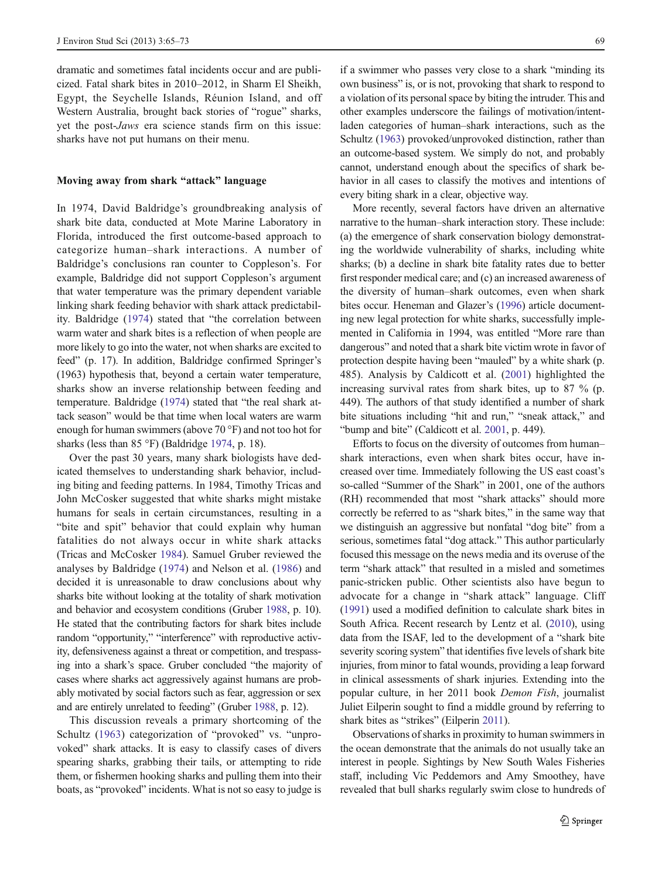dramatic and sometimes fatal incidents occur and are publicized. Fatal shark bites in 2010–2012, in Sharm El Sheikh, Egypt, the Seychelle Islands, Réunion Island, and off Western Australia, brought back stories of "rogue" sharks, yet the post-Jaws era science stands firm on this issue: sharks have not put humans on their menu.

#### Moving away from shark "attack" language

In 1974, David Baldridge's groundbreaking analysis of shark bite data, conducted at Mote Marine Laboratory in Florida, introduced the first outcome-based approach to categorize human–shark interactions. A number of Baldridge's conclusions ran counter to Coppleson's. For example, Baldridge did not support Coppleson's argument that water temperature was the primary dependent variable linking shark feeding behavior with shark attack predictability. Baldridge [\(1974](#page-7-0)) stated that "the correlation between warm water and shark bites is a reflection of when people are more likely to go into the water, not when sharks are excited to feed" (p. 17). In addition, Baldridge confirmed Springer's (1963) hypothesis that, beyond a certain water temperature, sharks show an inverse relationship between feeding and temperature. Baldridge ([1974](#page-7-0)) stated that "the real shark attack season" would be that time when local waters are warm enough for human swimmers (above 70 °F) and not too hot for sharks (less than 85 °F) (Baldridge [1974,](#page-7-0) p. 18).

Over the past 30 years, many shark biologists have dedicated themselves to understanding shark behavior, including biting and feeding patterns. In 1984, Timothy Tricas and John McCosker suggested that white sharks might mistake humans for seals in certain circumstances, resulting in a "bite and spit" behavior that could explain why human fatalities do not always occur in white shark attacks (Tricas and McCosker [1984](#page-8-0)). Samuel Gruber reviewed the analyses by Baldridge [\(1974](#page-7-0)) and Nelson et al. [\(1986](#page-8-0)) and decided it is unreasonable to draw conclusions about why sharks bite without looking at the totality of shark motivation and behavior and ecosystem conditions (Gruber [1988](#page-8-0), p. 10). He stated that the contributing factors for shark bites include random "opportunity," "interference" with reproductive activity, defensiveness against a threat or competition, and trespassing into a shark's space. Gruber concluded "the majority of cases where sharks act aggressively against humans are probably motivated by social factors such as fear, aggression or sex and are entirely unrelated to feeding" (Gruber [1988,](#page-8-0) p. 12).

This discussion reveals a primary shortcoming of the Schultz ([1963](#page-8-0)) categorization of "provoked" vs. "unprovoked" shark attacks. It is easy to classify cases of divers spearing sharks, grabbing their tails, or attempting to ride them, or fishermen hooking sharks and pulling them into their boats, as "provoked" incidents. What is not so easy to judge is if a swimmer who passes very close to a shark "minding its own business" is, or is not, provoking that shark to respond to a violation of its personal space by biting the intruder. This and other examples underscore the failings of motivation/intentladen categories of human–shark interactions, such as the Schultz [\(1963\)](#page-8-0) provoked/unprovoked distinction, rather than an outcome-based system. We simply do not, and probably cannot, understand enough about the specifics of shark behavior in all cases to classify the motives and intentions of every biting shark in a clear, objective way.

More recently, several factors have driven an alternative narrative to the human–shark interaction story. These include: (a) the emergence of shark conservation biology demonstrating the worldwide vulnerability of sharks, including white sharks; (b) a decline in shark bite fatality rates due to better first responder medical care; and (c) an increased awareness of the diversity of human–shark outcomes, even when shark bites occur. Heneman and Glazer's [\(1996\)](#page-8-0) article documenting new legal protection for white sharks, successfully implemented in California in 1994, was entitled "More rare than dangerous" and noted that a shark bite victim wrote in favor of protection despite having been "mauled" by a white shark (p. 485). Analysis by Caldicott et al. ([2001\)](#page-8-0) highlighted the increasing survival rates from shark bites, up to 87 % (p. 449). The authors of that study identified a number of shark bite situations including "hit and run," "sneak attack," and "bump and bite" (Caldicott et al. [2001,](#page-8-0) p. 449).

Efforts to focus on the diversity of outcomes from human– shark interactions, even when shark bites occur, have increased over time. Immediately following the US east coast's so-called "Summer of the Shark" in 2001, one of the authors (RH) recommended that most "shark attacks" should more correctly be referred to as "shark bites," in the same way that we distinguish an aggressive but nonfatal "dog bite" from a serious, sometimes fatal "dog attack." This author particularly focused this message on the news media and its overuse of the term "shark attack" that resulted in a misled and sometimes panic-stricken public. Other scientists also have begun to advocate for a change in "shark attack" language. Cliff [\(1991\)](#page-8-0) used a modified definition to calculate shark bites in South Africa. Recent research by Lentz et al. [\(2010\)](#page-8-0), using data from the ISAF, led to the development of a "shark bite severity scoring system" that identifies five levels of shark bite injuries, from minor to fatal wounds, providing a leap forward in clinical assessments of shark injuries. Extending into the popular culture, in her 2011 book Demon Fish, journalist Juliet Eilperin sought to find a middle ground by referring to shark bites as "strikes" (Eilperin [2011](#page-8-0)).

Observations of sharks in proximity to human swimmers in the ocean demonstrate that the animals do not usually take an interest in people. Sightings by New South Wales Fisheries staff, including Vic Peddemors and Amy Smoothey, have revealed that bull sharks regularly swim close to hundreds of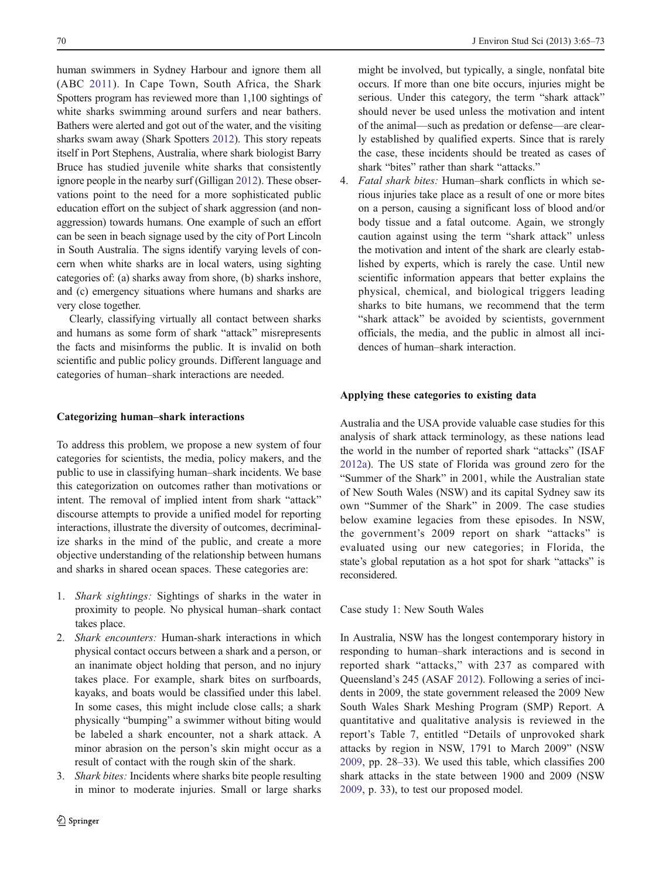human swimmers in Sydney Harbour and ignore them all (ABC [2011\)](#page-7-0). In Cape Town, South Africa, the Shark Spotters program has reviewed more than 1,100 sightings of white sharks swimming around surfers and near bathers. Bathers were alerted and got out of the water, and the visiting sharks swam away (Shark Spotters [2012\)](#page-8-0). This story repeats itself in Port Stephens, Australia, where shark biologist Barry Bruce has studied juvenile white sharks that consistently ignore people in the nearby surf (Gilligan [2012\)](#page-8-0). These observations point to the need for a more sophisticated public education effort on the subject of shark aggression (and nonaggression) towards humans. One example of such an effort can be seen in beach signage used by the city of Port Lincoln in South Australia. The signs identify varying levels of concern when white sharks are in local waters, using sighting categories of: (a) sharks away from shore, (b) sharks inshore, and (c) emergency situations where humans and sharks are very close together.

Clearly, classifying virtually all contact between sharks and humans as some form of shark "attack" misrepresents the facts and misinforms the public. It is invalid on both scientific and public policy grounds. Different language and categories of human–shark interactions are needed.

#### Categorizing human–shark interactions

To address this problem, we propose a new system of four categories for scientists, the media, policy makers, and the public to use in classifying human–shark incidents. We base this categorization on outcomes rather than motivations or intent. The removal of implied intent from shark "attack" discourse attempts to provide a unified model for reporting interactions, illustrate the diversity of outcomes, decriminalize sharks in the mind of the public, and create a more objective understanding of the relationship between humans and sharks in shared ocean spaces. These categories are:

- 1. Shark sightings: Sightings of sharks in the water in proximity to people. No physical human–shark contact takes place.
- 2. Shark encounters: Human-shark interactions in which physical contact occurs between a shark and a person, or an inanimate object holding that person, and no injury takes place. For example, shark bites on surfboards, kayaks, and boats would be classified under this label. In some cases, this might include close calls; a shark physically "bumping" a swimmer without biting would be labeled a shark encounter, not a shark attack. A minor abrasion on the person's skin might occur as a result of contact with the rough skin of the shark.
- 3. Shark bites: Incidents where sharks bite people resulting in minor to moderate injuries. Small or large sharks

might be involved, but typically, a single, nonfatal bite occurs. If more than one bite occurs, injuries might be serious. Under this category, the term "shark attack" should never be used unless the motivation and intent of the animal—such as predation or defense—are clearly established by qualified experts. Since that is rarely the case, these incidents should be treated as cases of shark "bites" rather than shark "attacks."

4. Fatal shark bites: Human–shark conflicts in which serious injuries take place as a result of one or more bites on a person, causing a significant loss of blood and/or body tissue and a fatal outcome. Again, we strongly caution against using the term "shark attack" unless the motivation and intent of the shark are clearly established by experts, which is rarely the case. Until new scientific information appears that better explains the physical, chemical, and biological triggers leading sharks to bite humans, we recommend that the term "shark attack" be avoided by scientists, government officials, the media, and the public in almost all incidences of human–shark interaction.

## Applying these categories to existing data

Australia and the USA provide valuable case studies for this analysis of shark attack terminology, as these nations lead the world in the number of reported shark "attacks" (ISAF [2012a](#page-8-0)). The US state of Florida was ground zero for the "Summer of the Shark" in 2001, while the Australian state of New South Wales (NSW) and its capital Sydney saw its own "Summer of the Shark" in 2009. The case studies below examine legacies from these episodes. In NSW, the government's 2009 report on shark "attacks" is evaluated using our new categories; in Florida, the state's global reputation as a hot spot for shark "attacks" is reconsidered.

Case study 1: New South Wales

In Australia, NSW has the longest contemporary history in responding to human–shark interactions and is second in reported shark "attacks," with 237 as compared with Queensland's 245 (ASAF [2012](#page-7-0)). Following a series of incidents in 2009, the state government released the 2009 New South Wales Shark Meshing Program (SMP) Report. A quantitative and qualitative analysis is reviewed in the report's Table 7, entitled "Details of unprovoked shark attacks by region in NSW, 1791 to March 2009" (NSW [2009](#page-8-0), pp. 28–33). We used this table, which classifies 200 shark attacks in the state between 1900 and 2009 (NSW [2009](#page-8-0), p. 33), to test our proposed model.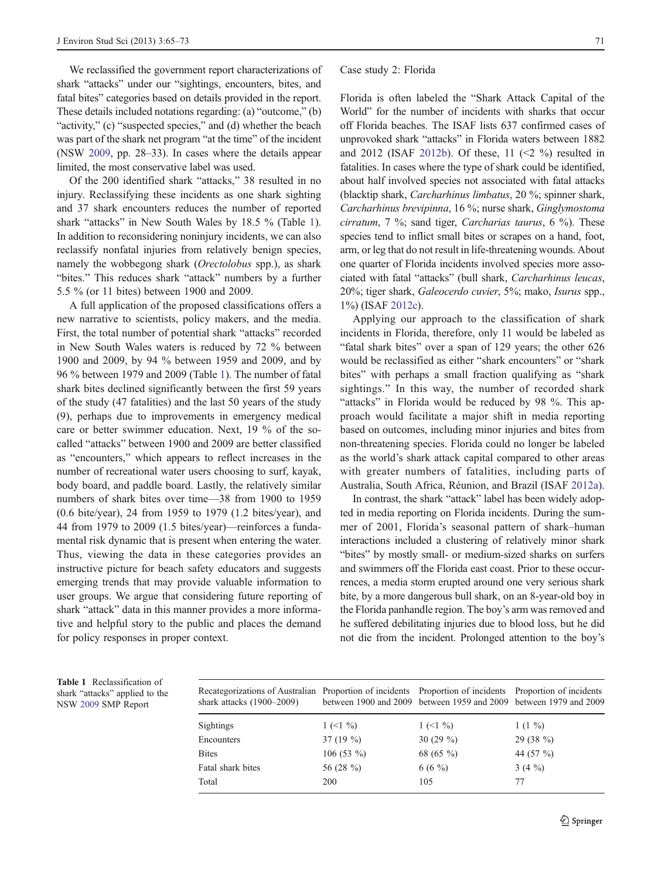We reclassified the government report characterizations of shark "attacks" under our "sightings, encounters, bites, and fatal bites" categories based on details provided in the report. These details included notations regarding: (a) "outcome," (b) "activity," (c) "suspected species," and (d) whether the beach was part of the shark net program "at the time" of the incident (NSW [2009](#page-8-0), pp. 28–33). In cases where the details appear limited, the most conservative label was used.

Of the 200 identified shark "attacks," 38 resulted in no injury. Reclassifying these incidents as one shark sighting and 37 shark encounters reduces the number of reported shark "attacks" in New South Wales by 18.5 % (Table 1). In addition to reconsidering noninjury incidents, we can also reclassify nonfatal injuries from relatively benign species, namely the wobbegong shark (Orectolobus spp.), as shark "bites." This reduces shark "attack" numbers by a further 5.5 % (or 11 bites) between 1900 and 2009.

A full application of the proposed classifications offers a new narrative to scientists, policy makers, and the media. First, the total number of potential shark "attacks" recorded in New South Wales waters is reduced by 72 % between 1900 and 2009, by 94 % between 1959 and 2009, and by 96 % between 1979 and 2009 (Table 1). The number of fatal shark bites declined significantly between the first 59 years of the study (47 fatalities) and the last 50 years of the study (9), perhaps due to improvements in emergency medical care or better swimmer education. Next, 19 % of the socalled "attacks" between 1900 and 2009 are better classified as "encounters," which appears to reflect increases in the number of recreational water users choosing to surf, kayak, body board, and paddle board. Lastly, the relatively similar numbers of shark bites over time—38 from 1900 to 1959 (0.6 bite/year), 24 from 1959 to 1979 (1.2 bites/year), and 44 from 1979 to 2009 (1.5 bites/year)—reinforces a fundamental risk dynamic that is present when entering the water. Thus, viewing the data in these categories provides an instructive picture for beach safety educators and suggests emerging trends that may provide valuable information to user groups. We argue that considering future reporting of shark "attack" data in this manner provides a more informative and helpful story to the public and places the demand for policy responses in proper context.

Case study 2: Florida

Florida is often labeled the "Shark Attack Capital of the World" for the number of incidents with sharks that occur off Florida beaches. The ISAF lists 637 confirmed cases of unprovoked shark "attacks" in Florida waters between 1882 and 2012 (ISAF [2012b](#page-8-0)). Of these,  $11$  (<2 %) resulted in fatalities. In cases where the type of shark could be identified, about half involved species not associated with fatal attacks (blacktip shark, Carcharhinus limbatus, 20 %; spinner shark, Carcharhinus brevipinna, 16 %; nurse shark, Ginglymostoma cirratum, 7 %; sand tiger, Carcharias taurus, 6 %). These species tend to inflict small bites or scrapes on a hand, foot, arm, or leg that do not result in life-threatening wounds. About one quarter of Florida incidents involved species more associated with fatal "attacks" (bull shark, Carcharhinus leucas, 20%; tiger shark, Galeocerdo cuvier, 5%; mako, Isurus spp., 1%) (ISAF [2012c\)](#page-8-0).

Applying our approach to the classification of shark incidents in Florida, therefore, only 11 would be labeled as "fatal shark bites" over a span of 129 years; the other 626 would be reclassified as either "shark encounters" or "shark bites" with perhaps a small fraction qualifying as "shark sightings." In this way, the number of recorded shark "attacks" in Florida would be reduced by 98 %. This approach would facilitate a major shift in media reporting based on outcomes, including minor injuries and bites from non-threatening species. Florida could no longer be labeled as the world's shark attack capital compared to other areas with greater numbers of fatalities, including parts of Australia, South Africa, Réunion, and Brazil (ISAF [2012a\)](#page-8-0).

In contrast, the shark "attack" label has been widely adopted in media reporting on Florida incidents. During the summer of 2001, Florida's seasonal pattern of shark–human interactions included a clustering of relatively minor shark "bites" by mostly small- or medium-sized sharks on surfers and swimmers off the Florida east coast. Prior to these occurrences, a media storm erupted around one very serious shark bite, by a more dangerous bull shark, on an 8-year-old boy in the Florida panhandle region. The boy's arm was removed and he suffered debilitating injuries due to blood loss, but he did not die from the incident. Prolonged attention to the boy's

Table 1 Reclassification of shark "attacks" applied to the NSW [2009](#page-8-0) SMP Report

| Recategorizations of Australian Proportion of incidents Proportion of incidents Proportion of incidents<br>shark attacks (1900-2009) |             | between 1900 and 2009 between 1959 and 2009 between 1979 and 2009 |           |
|--------------------------------------------------------------------------------------------------------------------------------------|-------------|-------------------------------------------------------------------|-----------|
| Sightings                                                                                                                            | $1(1\%)$    | $1 \leq 1 \%$                                                     | $1(1\%)$  |
| Encounters                                                                                                                           | 37 $(19\%)$ | 30 $(29\%)$                                                       | 29 (38 %) |
| <b>Bites</b>                                                                                                                         | $106(53\%)$ | 68 (65 %)                                                         | 44 (57 %) |
| Fatal shark bites                                                                                                                    | 56 (28 %)   | 6 (6 $\frac{9}{0}$ )                                              | 3 $(4\%$  |
| Total                                                                                                                                | 200         | 105                                                               | 77        |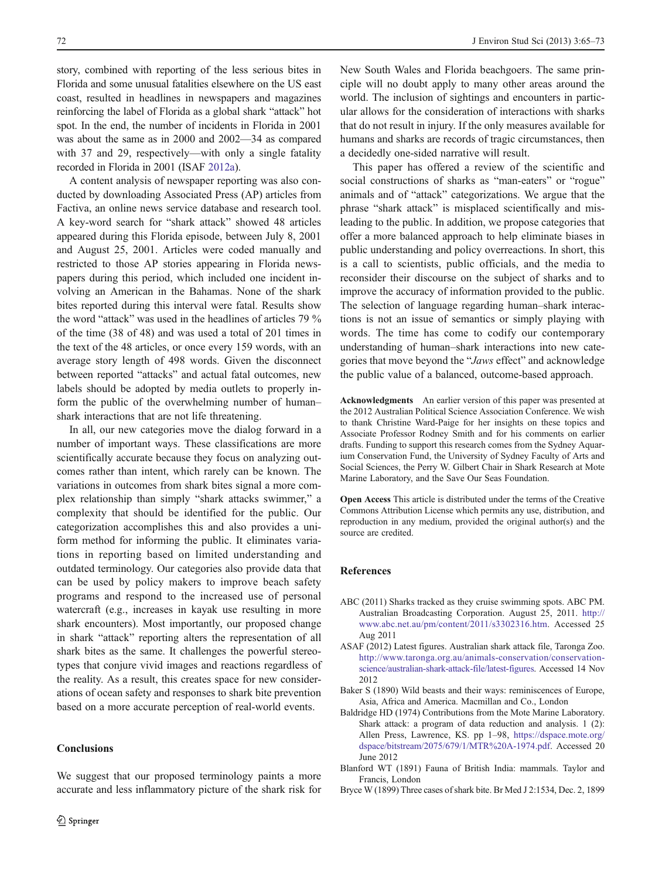<span id="page-7-0"></span>story, combined with reporting of the less serious bites in Florida and some unusual fatalities elsewhere on the US east coast, resulted in headlines in newspapers and magazines reinforcing the label of Florida as a global shark "attack" hot spot. In the end, the number of incidents in Florida in 2001 was about the same as in 2000 and 2002—34 as compared with 37 and 29, respectively—with only a single fatality recorded in Florida in 2001 (ISAF [2012a](#page-8-0)).

A content analysis of newspaper reporting was also conducted by downloading Associated Press (AP) articles from Factiva, an online news service database and research tool. A key-word search for "shark attack" showed 48 articles appeared during this Florida episode, between July 8, 2001 and August 25, 2001. Articles were coded manually and restricted to those AP stories appearing in Florida newspapers during this period, which included one incident involving an American in the Bahamas. None of the shark bites reported during this interval were fatal. Results show the word "attack" was used in the headlines of articles 79 % of the time (38 of 48) and was used a total of 201 times in the text of the 48 articles, or once every 159 words, with an average story length of 498 words. Given the disconnect between reported "attacks" and actual fatal outcomes, new labels should be adopted by media outlets to properly inform the public of the overwhelming number of human– shark interactions that are not life threatening.

In all, our new categories move the dialog forward in a number of important ways. These classifications are more scientifically accurate because they focus on analyzing outcomes rather than intent, which rarely can be known. The variations in outcomes from shark bites signal a more complex relationship than simply "shark attacks swimmer," a complexity that should be identified for the public. Our categorization accomplishes this and also provides a uniform method for informing the public. It eliminates variations in reporting based on limited understanding and outdated terminology. Our categories also provide data that can be used by policy makers to improve beach safety programs and respond to the increased use of personal watercraft (e.g., increases in kayak use resulting in more shark encounters). Most importantly, our proposed change in shark "attack" reporting alters the representation of all shark bites as the same. It challenges the powerful stereotypes that conjure vivid images and reactions regardless of the reality. As a result, this creates space for new considerations of ocean safety and responses to shark bite prevention based on a more accurate perception of real-world events.

#### Conclusions

We suggest that our proposed terminology paints a more accurate and less inflammatory picture of the shark risk for New South Wales and Florida beachgoers. The same principle will no doubt apply to many other areas around the world. The inclusion of sightings and encounters in particular allows for the consideration of interactions with sharks that do not result in injury. If the only measures available for humans and sharks are records of tragic circumstances, then a decidedly one-sided narrative will result.

This paper has offered a review of the scientific and social constructions of sharks as "man-eaters" or "rogue" animals and of "attack" categorizations. We argue that the phrase "shark attack" is misplaced scientifically and misleading to the public. In addition, we propose categories that offer a more balanced approach to help eliminate biases in public understanding and policy overreactions. In short, this is a call to scientists, public officials, and the media to reconsider their discourse on the subject of sharks and to improve the accuracy of information provided to the public. The selection of language regarding human–shark interactions is not an issue of semantics or simply playing with words. The time has come to codify our contemporary understanding of human–shark interactions into new categories that move beyond the "Jaws effect" and acknowledge the public value of a balanced, outcome-based approach.

Acknowledgments An earlier version of this paper was presented at the 2012 Australian Political Science Association Conference. We wish to thank Christine Ward-Paige for her insights on these topics and Associate Professor Rodney Smith and for his comments on earlier drafts. Funding to support this research comes from the Sydney Aquarium Conservation Fund, the University of Sydney Faculty of Arts and Social Sciences, the Perry W. Gilbert Chair in Shark Research at Mote Marine Laboratory, and the Save Our Seas Foundation.

Open Access This article is distributed under the terms of the Creative Commons Attribution License which permits any use, distribution, and reproduction in any medium, provided the original author(s) and the source are credited.

### References

- ABC (2011) Sharks tracked as they cruise swimming spots. ABC PM. Australian Broadcasting Corporation. August 25, 2011. [http://](http://www.abc.net.au/pm/content/2011/s3302316.htm) [www.abc.net.au/pm/content/2011/s3302316.htm.](http://www.abc.net.au/pm/content/2011/s3302316.htm) Accessed 25 Aug 2011
- ASAF (2012) Latest figures. Australian shark attack file, Taronga Zoo. [http://www.taronga.org.au/animals-conservation/conservation](http://www.taronga.org.au/animals-conservation/conservation-science/australian-shark-attack-file/latest-figures)[science/australian-shark-attack-file/latest-figures.](http://www.taronga.org.au/animals-conservation/conservation-science/australian-shark-attack-file/latest-figures) Accessed 14 Nov 2012
- Baker S (1890) Wild beasts and their ways: reminiscences of Europe, Asia, Africa and America. Macmillan and Co., London
- Baldridge HD (1974) Contributions from the Mote Marine Laboratory. Shark attack: a program of data reduction and analysis. 1 (2): Allen Press, Lawrence, KS. pp 1–98, [https://dspace.mote.org/](https://dspace.mote.org/dspace/bitstream/2075/679/1/MTR%20A-1974.pdf) [dspace/bitstream/2075/679/1/MTR%20A-1974.pdf](https://dspace.mote.org/dspace/bitstream/2075/679/1/MTR%20A-1974.pdf). Accessed 20 June 2012
- Blanford WT (1891) Fauna of British India: mammals. Taylor and Francis, London
- Bryce W (1899) Three cases of shark bite. Br Med J 2:1534, Dec. 2, 1899